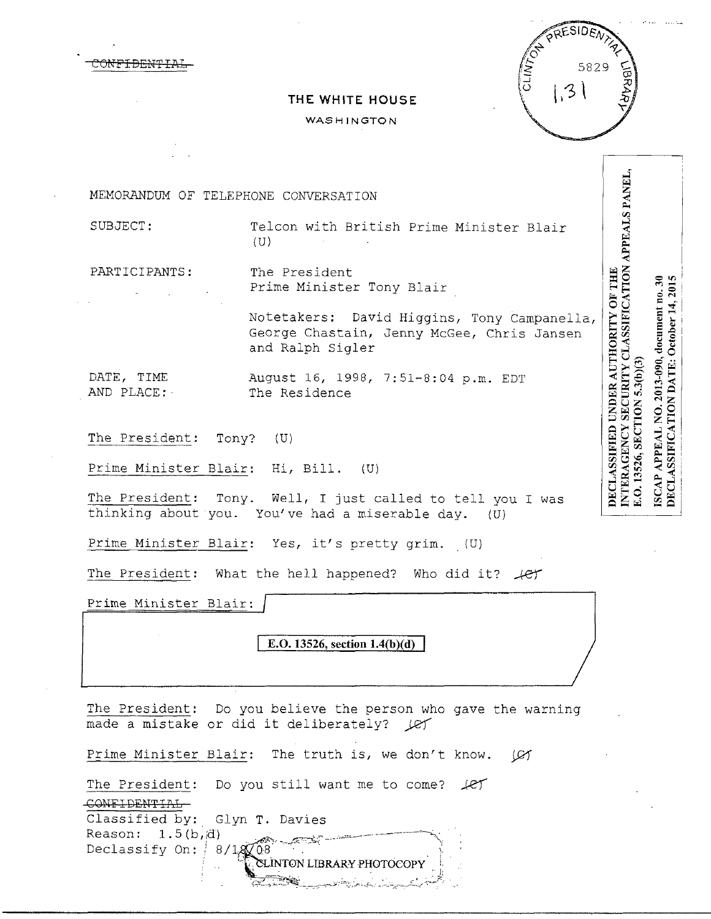|  | <del>CONFIDENTIAL</del> |  |
|--|-------------------------|--|
|  |                         |  |



## **THE WHITE HOUSE**

## **WASHINGTON**

**NTERAGENCY SECURITY CLASSIFICATION APPEALS PANEL,** MEMORANDUM OF TELEPHONE CONVERSATION SUBJECT: Telcon with British Prime Minister Blair  $(U)$ PARTICIPANTS: The President DECLASSIFIED UNDER AUTHORITY OF THE Prime Minister Tony Blair Notetakers: David Higgins, Tony Campanella, George Chastain, Jenny McGee, Chris Jansen and Ralph Sigler E.O. 13526, SECTION 5.3(b)(3) DATE, TIME August 16, 1998, 7:51-8:04 p.m. EDT AND PLACE:· The Residence The President: Tony? (U) Prime Minister Blair: Hi, Bill. (U) The President: Tony. Well, I just called to tell you I was thinking about you. You've had a miserable day. (U)

Prime Minister Blair: Yes, it's pretty grim. (U)

The President: What the hell happened? Who did it?  $\text{\it 1e}$ 

Prime Minister Blair:

E.O. 13526, section 1.4(b)(d)

The President: Do you believe the person who gave the warning made a mistake or did it deliberately?  $Q\gamma$ 

LINTON LIBRARY PHOTOCOPY

 $\hspace{2cm} \epsilon = \frac{1}{2} \left( \frac{1}{2} \sum_{i=1}^N \frac{1}{2} \sum_{i=1}^N \frac{1}{2} \sum_{i=1}^N \frac{1}{2} \sum_{i=1}^N \frac{1}{2} \sum_{i=1}^N \frac{1}{2} \sum_{i=1}^N \frac{1}{2} \sum_{i=1}^N \frac{1}{2} \sum_{i=1}^N \frac{1}{2} \sum_{i=1}^N \frac{1}{2} \sum_{i=1}^N \frac{1}{2} \sum_{i=1}^N \frac{1}{2} \sum_{i=1}^N \frac{1}{2} \$ 

Prime Minister Blair: The truth is, we don't know. (Cf

The President: Do you still want me to come?  $\mathcal{L}$ CONFIDENTIAL

Classified by: Glyn T. Davies<br>Reason: 1.5(b,d)

Reason: 1.5(b, d)<br>Declassify On: *8/1*  $\vdots$  . . . . .  $\mathfrak{t}$ 

ISCAP APPEAL NO. 2013-090, document no. 30

DECLASSIFICATION DATE: October 14, 2015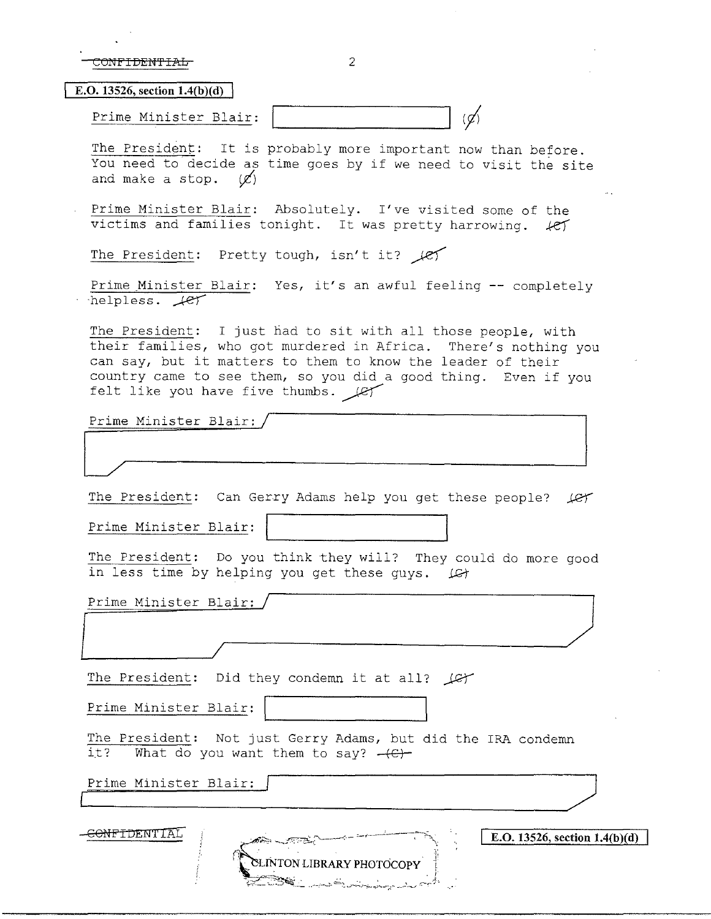| CONFIDENTIAL |  |
|--------------|--|
|              |  |

**E.O. 13526, section 1.4(b)(d)** 

| Minister<br>m⊖<br>к<br>المترسل | .<br>$\sim$<br>- 1                                                                         |  |
|--------------------------------|--------------------------------------------------------------------------------------------|--|
| ------------                   |                                                                                            |  |
|                                | the property of the company of the company of the company of the company of the company of |  |

The President: It is probably more important now than before. You need to decide as time goes by if we need to visit the site and make a stop.  $(\mathcal{L})$ 

Prime Minister Blair: Absolutely. I've visited some of the victims and families tonight. It was pretty harrowing.  $k$ ey

The President: Pretty tough, isn't it?  $\ell$ 

Prime Minister Blair: Yes, it's an awful feeling -- completely  $-$ helpless.  $+e^+$ 

The President: I just had to sit with all those people, with their families, who got murdered in Africa. There's nothing you can say, but it matters to them to know the leader of their country came to see them, so you did a good thing. Even if you felt like you have five thumbs.  $\mathcal{L}$ 

Prime Minister Blair:/

The President: Can Gerry Adams help you get these people? *Jet* 

Prime Minister Blair:

The President: Do you think they will? They could do more good in less time by helping you get these guys.  $\Box G$ 

Prime Minister Blra\_i\_r~:-/-~~~~~~~~~~~~~~~~~~~~/,,J !*.\_\_\_\_\_\_\_\_\_!* 

Prime Minister Blair: /

The President: Did they condemn it at all? (C)

Prime Minister Blair:

The President: Not just Gerry Adams, but did the IRA condemn it? What do you want them to say?  $+e$ Prime Minister Blair:<br>
The President: Not just Gerry Adams, but did the IRA condemn<br>
it? What do you want them to say? <del>(C)</del><br>
Prime Minister Blair:

Prime Minister Blair:

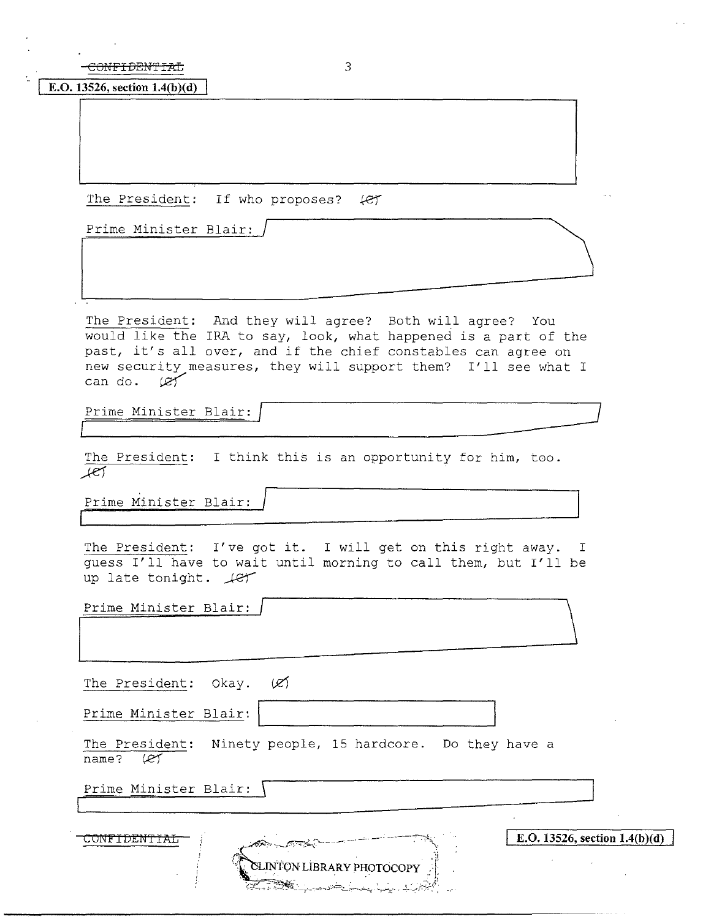CONFIDENTIAL 3

**E.O. 13526, section l.4(b)(d)** 

The President: If who proposes?  $#$ 

Prime Minister Blair:

The President: And they will agree? Both will agree? You would like the IRA to say, look, what happened is a part of the would like the five to say, fook, what happened is a part of the past, it's all over, and if the chief constables can agree on past, it s all over, and if the chief constables can agree on<br>new security measures, they will support them? I'll see what I<br>can do.  $\varnothing$ 

Prime Minister Blair:

The President: I think this is an opportunity for him, too. *,)-e1* 

Prime Minister Blair:

The President: I've got it. I will get on this right away. I guess I'll have to wait until morning to call them, but I'll be up late tonight.  $\text{Ler}$ 

| Prime Minister Blair: |  |
|-----------------------|--|
|                       |  |
|                       |  |

The President: Okay.  $\emptyset$ 

Prime Minister Blair:

The President: Ninety people, 15 hardcore. Do they have a name? (Rf

SLINTON LIBRARY PHOTOCOPY

Prime Minister Blair: \

 $\begin{array}{|c|c|c|c|c|c|}\n\hline\n\text{COMFIDENTIAL} & \text{(a)} & \text{a} & \text{b} & \text{c} & \text{c} & \text{d} & \text{d} & \text{d} & \text{e} & \text{d} & \text{f} & \text{f} & \text{f} & \text{f} & \text{f} & \text{f} & \text{f} & \text{f} & \text{f} & \text{f} & \text{f} & \text{f} & \text{f} & \text{f} & \text{f} & \text{f} & \text{f} & \text{f} & \text{f} & \text{f} & \text{f} &$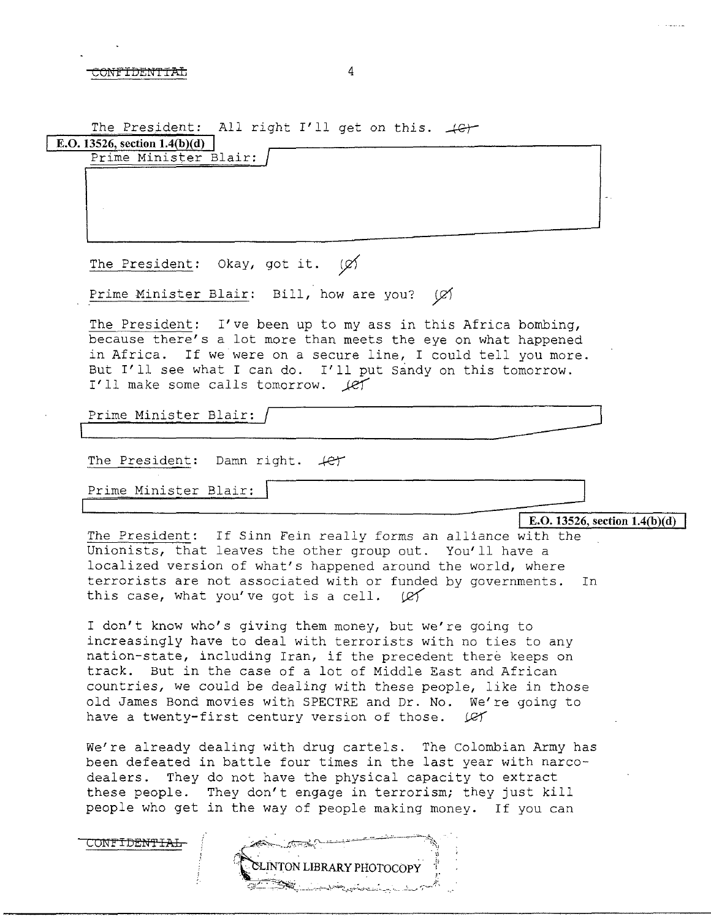CONFIDENTIAL 4

The President: All right I'll get on this.  $\downarrow$ G $\downarrow$ 

**E.O. 13526, section 1.4(b)(d)** Prime Minister Blair:

The President: Okay, got it. (Ø)

Prime Minister Blair: Bill, how are you?  $\varnothing$ 

The President: I've been up to my ass in this Africa bombing, because there's a lot more than meets the eye on what happened in Africa. If we were on a secure line, I could tell you more. But I'll see what I can do. I'll put Sandy on this tomorrow. I'll make some calls tomorrow.  $\ell$ Prime Minister Blair: / '-------------

The President: Damn right.  $#f$ 

Prime Minister Blair:

CONFIDE<del>NTIAL</del>

**E.O. 13526, section 1.4(b)(d)** 

The President: If Sinn Fein really forms an alliance with the Unionists, that leaves the other group out. You'll have a localized version of what's happened around the world, where terrorists are not associated with or funded by governments. In this case, what you've got is a cell.  $|C|$ 

I don't know who's giving them money, but we're going to increasingly have to deal with terrorists with no ties to any nation-state, including Iran, if the precedent there keeps on track. But in the case of a lot of Middle East and African countries, we could be dealing with these people, like in those old James Bond movies with SPECTRE and Dr. No. We're going to have a twenty-first century version of those.  $\mathcal{L}$ 

We're already dealing with drug cartels. The Colombian Army has been defeated in battle four times in the last year with narcodealers. They do not have the physical capacity to extract these people. They don't engage in terrorism; they just kill people who get in the way of people making money. If you can

**ON LIBRARY PHOTOCOP**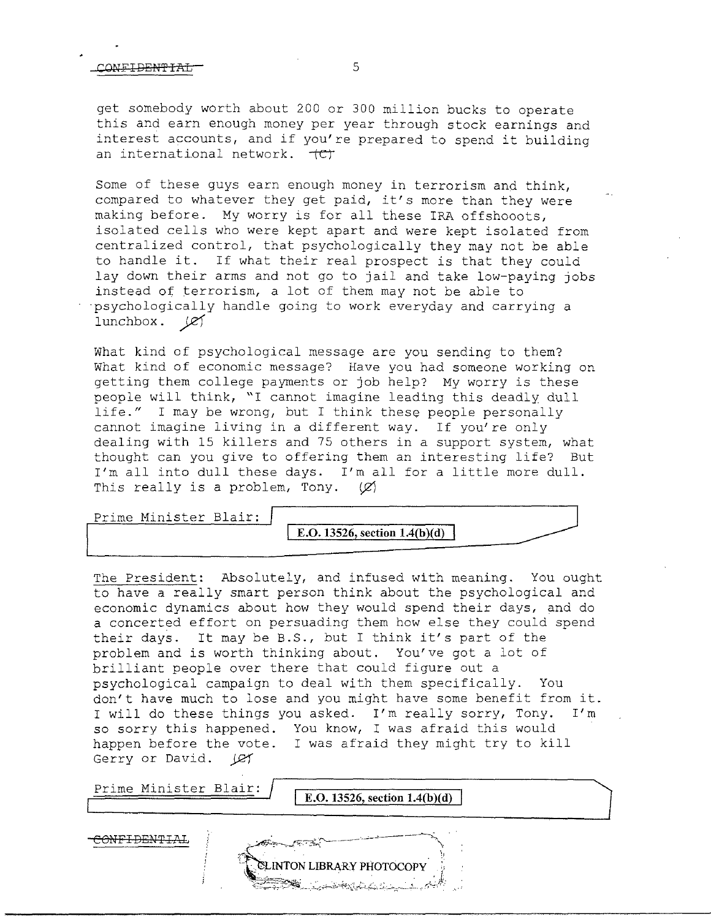## CONFI<del>DENTIAL 5</del>

get somebody worth about 200 or 300 million bucks to operate this and earn enough money per year through stock earnings and interest accounts, and if you're prepared to spend it building an international network.  $+CT$ 

Some of these guys earn enough money in terrorism and think, compared to whatever they get paid, it's more than they were making before. My worry is for all these IRA offshooots, isolated cells who were kept apart and were kept isolated from centralized control, that psychologically they may not be able to handle it. If what their real prospect is that they could lay down their arms and not go to jail and take low-paying jobs instead of terrorism, a lot of them may not be able to ·psychologically handle going to work everyday and carrying a 1unchbox.  $\cancel{\mathscr{L}}$ 

What kind of psychological message are you sending to them? What kind of economic message? Have you had someone working on getting them college payments or job help? My worry is these people will think, "I cannot imagine leading this deadly dull life." I may be wrong, but I think these people personally cannot imagine living in a different way. If you're only dealing with 15 killers and 75 others in a support system, what thought can you give to offering them an interesting life? But I'm all into dull these days. I'm all for a little more dull. This really is a problem, Tony.  $(\varnothing)$ 

Prime Minister Blair:

**E.O. 13526, section 1.4(b)(d)** 

The President: Absolutely, and infused with meaning. You ought to have a really smart person think about the psychological and economic dynamics about how they would spend their days, and do a concerted effort on persuading them how else they could spend their days. It may be B.S., but I think it's part of the problem and is worth thinking about. You've got a lot of brilliant people over there that could figure out a psychological campaign to deal with them specifically. You don't have much to lose and you might have some benefit from it. I will do these things you asked. I'm really sorry, Tony. I'm so sorry this happened. You know, I was afraid this would happen before the vote. I was afraid they might try to kill Gerry or David. *JQ1* 

Prime Minister Blair: **E.O. 13526, section 1.4(b)(d)** CONFIDENTIAL **INTON LIBRARY PHOTOCOPY**